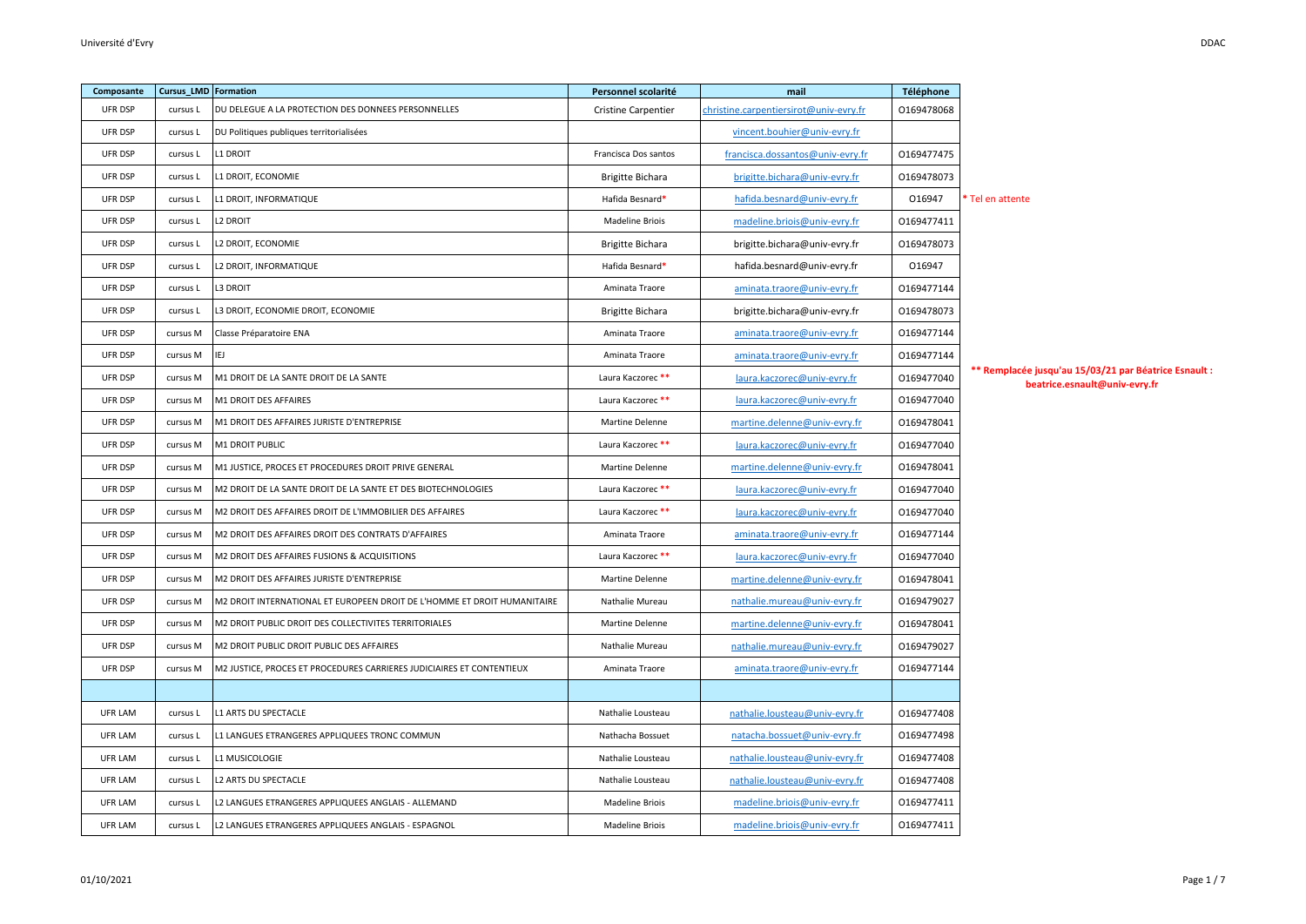| Composante     | <b>Cursus_LMD</b> Formation |                                                                          | Personnel scolarité        | mail                                   | Téléphone  |                                                                                        |
|----------------|-----------------------------|--------------------------------------------------------------------------|----------------------------|----------------------------------------|------------|----------------------------------------------------------------------------------------|
| <b>UFR DSP</b> | cursus L                    | DU DELEGUE A LA PROTECTION DES DONNEES PERSONNELLES                      | <b>Cristine Carpentier</b> | christine.carpentiersirot@univ-evry.fr | 0169478068 |                                                                                        |
| UFR DSP        | cursus L                    | DU Politiques publiques territorialisées                                 |                            | vincent.bouhier@univ-evry.fr           |            |                                                                                        |
| UFR DSP        | cursus L                    | L1 DROIT                                                                 | Francisca Dos santos       | francisca.dossantos@univ-evry.fr       | 0169477475 |                                                                                        |
| UFR DSP        | cursus L                    | L1 DROIT, ECONOMIE                                                       | <b>Brigitte Bichara</b>    | brigitte.bichara@univ-evry.fr          | 0169478073 |                                                                                        |
| <b>UFR DSP</b> | cursus L                    | 1 DROIT, INFORMATIQUE                                                    | Hafida Besnard*            | hafida.besnard@univ-evry.fr            | 016947     | <sup>*</sup> Tel en attente                                                            |
| <b>UFR DSP</b> | cursus L                    | L2 DROIT                                                                 | <b>Madeline Briois</b>     | madeline.briois@univ-evry.fr           | 0169477411 |                                                                                        |
| UFR DSP        | cursus L                    | L2 DROIT, ECONOMIE                                                       | <b>Brigitte Bichara</b>    | brigitte.bichara@univ-evry.fr          | 0169478073 |                                                                                        |
| <b>UFR DSP</b> | cursus L                    | L2 DROIT, INFORMATIQUE                                                   | Hafida Besnard*            | hafida.besnard@univ-evry.fr            | 016947     |                                                                                        |
| <b>UFR DSP</b> | cursus L                    | L3 DROIT                                                                 | Aminata Traore             | aminata.traore@univ-evry.fr            | 0169477144 |                                                                                        |
| UFR DSP        | cursus L                    | L3 DROIT, ECONOMIE DROIT, ECONOMIE                                       | <b>Brigitte Bichara</b>    | brigitte.bichara@univ-evry.fr          | 0169478073 |                                                                                        |
| <b>UFR DSP</b> | cursus M                    | Classe Préparatoire ENA                                                  | Aminata Traore             | aminata.traore@univ-evry.fr            | 0169477144 |                                                                                        |
| UFR DSP        | cursus M                    | IEJ                                                                      | Aminata Traore             | aminata.traore@univ-evry.fr            | 0169477144 |                                                                                        |
| UFR DSP        | cursus M                    | M1 DROIT DE LA SANTE DROIT DE LA SANTE                                   | Laura Kaczorec **          | laura.kaczorec@univ-evry.fr            | 0169477040 | ** Remplacée jusqu'au 15/03/21 par Béatrice Esnault :<br>beatrice.esnault@univ-evry.fr |
| UFR DSP        | cursus M                    | M1 DROIT DES AFFAIRES                                                    | Laura Kaczorec **          | laura.kaczorec@univ-evry.fr            | 0169477040 |                                                                                        |
| UFR DSP        | cursus M                    | M1 DROIT DES AFFAIRES JURISTE D'ENTREPRISE                               | Martine Delenne            | martine.delenne@univ-evry.fr           | 0169478041 |                                                                                        |
| UFR DSP        | cursus M                    | M1 DROIT PUBLIC                                                          | Laura Kaczorec **          | laura.kaczorec@univ-evry.fr            | 0169477040 |                                                                                        |
| UFR DSP        | cursus M                    | M1 JUSTICE, PROCES ET PROCEDURES DROIT PRIVE GENERAL                     | Martine Delenne            | <u>martine.delenne@univ-evry.fr</u>    | 0169478041 |                                                                                        |
| UFR DSP        | cursus M                    | M2 DROIT DE LA SANTE DROIT DE LA SANTE ET DES BIOTECHNOLOGIES            | Laura Kaczorec**           | laura.kaczorec@univ-evry.fr            | 0169477040 |                                                                                        |
| UFR DSP        | cursus M                    | M2 DROIT DES AFFAIRES DROIT DE L'IMMOBILIER DES AFFAIRES                 | Laura Kaczorec **          | laura.kaczorec@univ-evry.fr            | 0169477040 |                                                                                        |
| UFR DSP        | cursus M                    | M2 DROIT DES AFFAIRES DROIT DES CONTRATS D'AFFAIRES                      | Aminata Traore             | aminata.traore@univ-evry.fr            | 0169477144 |                                                                                        |
| UFR DSP        | cursus M                    | M2 DROIT DES AFFAIRES FUSIONS & ACQUISITIONS                             | Laura Kaczorec **          | laura.kaczorec@univ-evry.fr            | 0169477040 |                                                                                        |
| UFR DSP        | cursus M                    | M2 DROIT DES AFFAIRES JURISTE D'ENTREPRISE                               | Martine Delenne            | martine.delenne@univ-evry.fr           | 0169478041 |                                                                                        |
| UFR DSP        | cursus M                    | M2 DROIT INTERNATIONAL ET EUROPEEN DROIT DE L'HOMME ET DROIT HUMANITAIRE | Nathalie Mureau            | nathalie.mureau@univ-evry.fr           | 0169479027 |                                                                                        |
| <b>UFR DSP</b> | cursus M                    | M2 DROIT PUBLIC DROIT DES COLLECTIVITES TERRITORIALES                    | Martine Delenne            | martine.delenne@univ-evry.fr           | 0169478041 |                                                                                        |
| <b>UFR DSP</b> | cursus M                    | M2 DROIT PUBLIC DROIT PUBLIC DES AFFAIRES                                | Nathalie Mureau            | nathalie.mureau@univ-evry.fr           | 0169479027 |                                                                                        |
| UFR DSP        | cursus M                    | M2 JUSTICE, PROCES ET PROCEDURES CARRIERES JUDICIAIRES ET CONTENTIEUX    | Aminata Traore             | aminata.traore@univ-evry.fr            | 0169477144 |                                                                                        |
|                |                             |                                                                          |                            |                                        |            |                                                                                        |
| UFR LAM        | cursus L                    | L1 ARTS DU SPECTACLE                                                     | Nathalie Lousteau          | nathalie.lousteau@univ-evry.fr         | 0169477408 |                                                                                        |
| UFR LAM        | cursus L                    | L1 LANGUES ETRANGERES APPLIQUEES TRONC COMMUN                            | Nathacha Bossuet           | natacha.bossuet@univ-evry.fr           | 0169477498 |                                                                                        |
| UFR LAM        | cursus L                    | L1 MUSICOLOGIE                                                           | Nathalie Lousteau          | nathalie.lousteau@univ-evry.fr         | 0169477408 |                                                                                        |
| UFR LAM        | cursus L                    | L2 ARTS DU SPECTACLE                                                     | Nathalie Lousteau          | nathalie.lousteau@univ-evry.fr         | 0169477408 |                                                                                        |
| UFR LAM        | cursus L                    | L2 LANGUES ETRANGERES APPLIQUEES ANGLAIS - ALLEMAND                      | Madeline Briois            | madeline.briois@univ-evry.fr           | 0169477411 |                                                                                        |
| UFR LAM        | cursus L                    | L2 LANGUES ETRANGERES APPLIQUEES ANGLAIS - ESPAGNOL                      | <b>Madeline Briois</b>     | madeline.briois@univ-evry.fr           | 0169477411 |                                                                                        |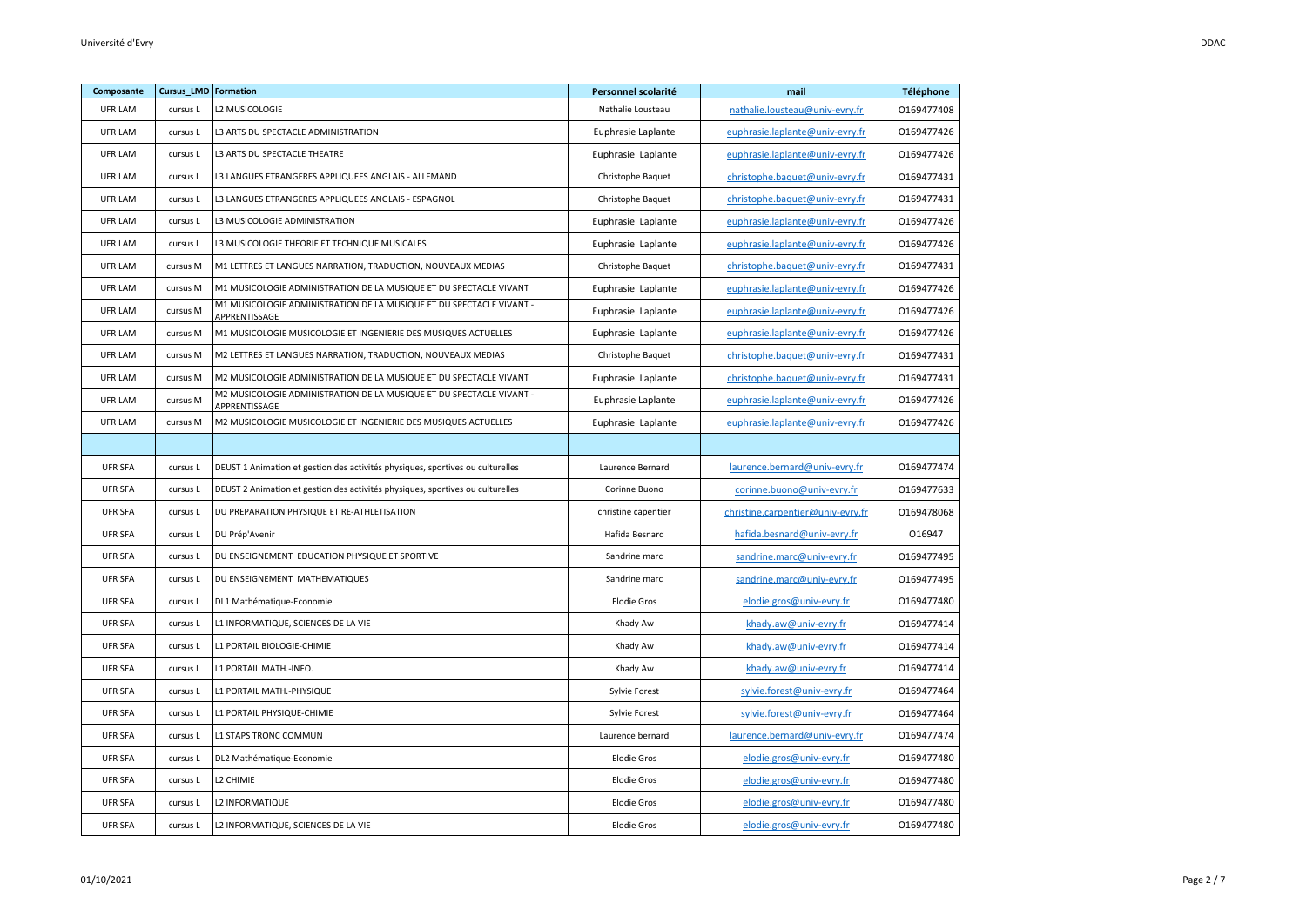| Composante     | Cursus_LMD Formation |                                                                                       | Personnel scolarité | mail                              | Téléphone  |
|----------------|----------------------|---------------------------------------------------------------------------------------|---------------------|-----------------------------------|------------|
| UFR LAM        | cursus L             | L2 MUSICOLOGIE                                                                        | Nathalie Lousteau   | nathalie.lousteau@univ-evry.fr    | 0169477408 |
| UFR LAM        | cursus L             | L3 ARTS DU SPECTACLE ADMINISTRATION                                                   | Euphrasie Laplante  | euphrasie.laplante@univ-evry.fr   | 0169477426 |
| UFR LAM        | cursus L             | L3 ARTS DU SPECTACLE THEATRE                                                          | Euphrasie Laplante  | euphrasie.laplante@univ-evry.fr   | 0169477426 |
| UFR LAM        | cursus L             | L3 LANGUES ETRANGERES APPLIQUEES ANGLAIS - ALLEMAND                                   | Christophe Baquet   | christophe.baquet@univ-evry.fr    | 0169477431 |
| UFR LAM        | cursus L             | L3 LANGUES ETRANGERES APPLIQUEES ANGLAIS - ESPAGNOL                                   | Christophe Baquet   | christophe.baquet@univ-evry.fr    | 0169477431 |
| UFR LAM        | cursus L             | L3 MUSICOLOGIE ADMINISTRATION                                                         | Euphrasie Laplante  | euphrasie.laplante@univ-evry.fr   | 0169477426 |
| UFR LAM        | cursus L             | L3 MUSICOLOGIE THEORIE ET TECHNIQUE MUSICALES                                         | Euphrasie Laplante  | euphrasie.laplante@univ-evry.fr   | 0169477426 |
| UFR LAM        | cursus M             | M1 LETTRES ET LANGUES NARRATION, TRADUCTION, NOUVEAUX MEDIAS                          | Christophe Baquet   | christophe.baquet@univ-evry.fr    | 0169477431 |
| UFR LAM        | cursus M             | M1 MUSICOLOGIE ADMINISTRATION DE LA MUSIQUE ET DU SPECTACLE VIVANT                    | Euphrasie Laplante  | euphrasie.laplante@univ-evry.fr   | 0169477426 |
| UFR LAM        | cursus M             | M1 MUSICOLOGIE ADMINISTRATION DE LA MUSIQUE ET DU SPECTACLE VIVANT -<br>APPRENTISSAGE | Euphrasie Laplante  | euphrasie.laplante@univ-evry.fr   | 0169477426 |
| UFR LAM        | cursus M             | M1 MUSICOLOGIE MUSICOLOGIE ET INGENIERIE DES MUSIQUES ACTUELLES                       | Euphrasie Laplante  | euphrasie.laplante@univ-evry.fr   | 0169477426 |
| UFR LAM        | cursus M             | M2 LETTRES ET LANGUES NARRATION, TRADUCTION, NOUVEAUX MEDIAS                          | Christophe Baquet   | christophe.baquet@univ-evry.fr    | 0169477431 |
| UFR LAM        | cursus M             | M2 MUSICOLOGIE ADMINISTRATION DE LA MUSIQUE ET DU SPECTACLE VIVANT                    | Euphrasie Laplante  | christophe.baquet@univ-evry.fr    | 0169477431 |
| UFR LAM        | cursus M             | M2 MUSICOLOGIE ADMINISTRATION DE LA MUSIQUE ET DU SPECTACLE VIVANT -<br>APPRENTISSAGE | Euphrasie Laplante  | euphrasie.laplante@univ-evry.fr   | 0169477426 |
| UFR LAM        | cursus M             | M2 MUSICOLOGIE MUSICOLOGIE ET INGENIERIE DES MUSIQUES ACTUELLES                       | Euphrasie Laplante  | euphrasie.laplante@univ-evry.fr   | 0169477426 |
|                |                      |                                                                                       |                     |                                   |            |
| <b>UFR SFA</b> | cursus L             | DEUST 1 Animation et gestion des activités physiques, sportives ou culturelles        | Laurence Bernard    | laurence.bernard@univ-evry.fr     | 0169477474 |
| <b>UFR SFA</b> | cursus L             | DEUST 2 Animation et gestion des activités physiques, sportives ou culturelles        | Corinne Buono       | corinne.buono@univ-evry.fr        | 0169477633 |
| <b>UFR SFA</b> | cursus L             | DU PREPARATION PHYSIQUE ET RE-ATHLETISATION                                           | christine capentier | christine.carpentier@univ-evry.fr | 0169478068 |
| <b>UFR SFA</b> | cursus L             | DU Prép'Avenir                                                                        | Hafida Besnard      | hafida.besnard@univ-evry.fr       | 016947     |
| <b>UFR SFA</b> | cursus L             | DU ENSEIGNEMENT EDUCATION PHYSIQUE ET SPORTIVE                                        | Sandrine marc       | sandrine.marc@univ-evry.fr        | 0169477495 |
| <b>UFR SFA</b> | cursus L             | DU ENSEIGNEMENT MATHEMATIQUES                                                         | Sandrine marc       | sandrine.marc@univ-evry.fr        | 0169477495 |
| <b>UFR SFA</b> | cursus L             | DL1 Mathématique-Economie                                                             | <b>Elodie Gros</b>  | elodie.gros@univ-evry.fr          | 0169477480 |
| <b>UFR SFA</b> | cursus L             | L1 INFORMATIQUE, SCIENCES DE LA VIE                                                   | Khady Aw            | khady.aw@univ-evry.fr             | 0169477414 |
| <b>UFR SFA</b> | cursus L             | L1 PORTAIL BIOLOGIE-CHIMIE                                                            | Khady Aw            | khady.aw@univ-evry.fr             | 0169477414 |
| <b>UFR SFA</b> | cursus L             | L1 PORTAIL MATH.-INFO.                                                                | Khady Aw            | khady.aw@univ-evry.fr             | 0169477414 |
| <b>UFR SFA</b> | cursus L             | L1 PORTAIL MATH.-PHYSIQUE                                                             | Sylvie Forest       | sylvie.forest@univ-evry.fr        | 0169477464 |
| <b>UFR SFA</b> | cursus L             | L1 PORTAIL PHYSIQUE-CHIMIE                                                            | Sylvie Forest       | sylvie.forest@univ-evry.fr        | 0169477464 |
| <b>UFR SFA</b> | cursus L             | L1 STAPS TRONC COMMUN                                                                 | Laurence bernard    | laurence.bernard@univ-evry.fr     | 0169477474 |
| <b>UFR SFA</b> | cursus L             | DL2 Mathématique-Economie                                                             | <b>Elodie Gros</b>  | elodie.gros@univ-evry.fr          | 0169477480 |
| <b>UFR SFA</b> | cursus L             | L2 CHIMIE                                                                             | <b>Elodie Gros</b>  | elodie.gros@univ-evry.fr          | 0169477480 |
| <b>UFR SFA</b> | cursus L             | L2 INFORMATIQUE                                                                       | <b>Elodie Gros</b>  | elodie.gros@univ-evry.fr          | 0169477480 |
| <b>UFR SFA</b> | cursus L             | L2 INFORMATIQUE, SCIENCES DE LA VIE                                                   | <b>Elodie Gros</b>  | elodie.gros@univ-evry.fr          | 0169477480 |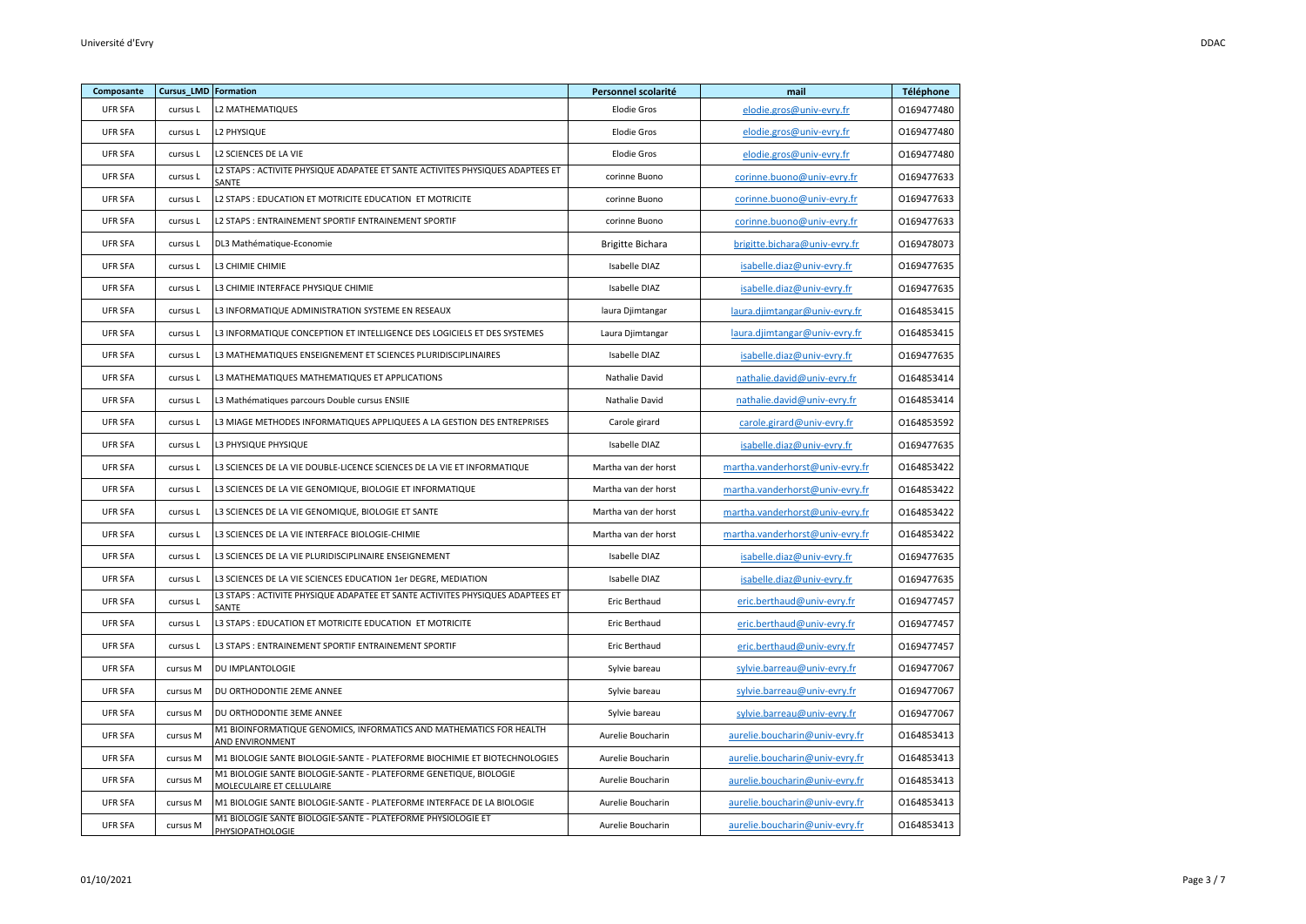| Composante     | Cursus_LMD Formation |                                                                                                | Personnel scolarité     | mail                            | Téléphone  |
|----------------|----------------------|------------------------------------------------------------------------------------------------|-------------------------|---------------------------------|------------|
| <b>UFR SFA</b> | cursus L             | L2 MATHEMATIQUES                                                                               | <b>Elodie Gros</b>      | elodie.gros@univ-evry.fr        | 0169477480 |
| <b>UFR SFA</b> | cursus L             | <b>L2 PHYSIQUE</b>                                                                             | <b>Elodie Gros</b>      | elodie.gros@univ-evry.fr        | 0169477480 |
| <b>UFR SFA</b> | cursus L             | L2 SCIENCES DE LA VIE                                                                          | <b>Elodie Gros</b>      | elodie.gros@univ-evry.fr        | 0169477480 |
| <b>UFR SFA</b> | cursus L             | L2 STAPS : ACTIVITE PHYSIQUE ADAPATEE ET SANTE ACTIVITES PHYSIQUES ADAPTEES ET<br>SANTE        | corinne Buono           | corinne.buono@univ-evry.fr      | 0169477633 |
| <b>UFR SFA</b> | cursus L             | L2 STAPS : EDUCATION ET MOTRICITE EDUCATION ET MOTRICITE                                       | corinne Buono           | corinne.buono@univ-evry.fr      | 0169477633 |
| <b>UFR SFA</b> | cursus L             | L2 STAPS : ENTRAINEMENT SPORTIF ENTRAINEMENT SPORTIF                                           | corinne Buono           | corinne.buono@univ-evry.fr      | 0169477633 |
| <b>UFR SFA</b> | cursus L             | DL3 Mathématique-Economie                                                                      | <b>Brigitte Bichara</b> | brigitte.bichara@univ-evry.fr   | 0169478073 |
| <b>UFR SFA</b> | cursus L             | L3 CHIMIE CHIMIE                                                                               | Isabelle DIAZ           | isabelle.diaz@univ-evry.fr      | 0169477635 |
| <b>UFR SFA</b> | cursus L             | L3 CHIMIE INTERFACE PHYSIQUE CHIMIE                                                            | Isabelle DIAZ           | isabelle.diaz@univ-evry.fr      | 0169477635 |
| <b>UFR SFA</b> | cursus L             | L3 INFORMATIQUE ADMINISTRATION SYSTEME EN RESEAUX                                              | laura Djimtangar        | laura.djimtangar@univ-evry.fr   | 0164853415 |
| <b>UFR SFA</b> | cursus L             | L3 INFORMATIQUE CONCEPTION ET INTELLIGENCE DES LOGICIELS ET DES SYSTEMES                       | Laura Djimtangar        | laura.djimtangar@univ-evry.fr   | 0164853415 |
| <b>UFR SFA</b> | cursus L             | L3 MATHEMATIQUES ENSEIGNEMENT ET SCIENCES PLURIDISCIPLINAIRES                                  | Isabelle DIAZ           | isabelle.diaz@univ-evry.fr      | 0169477635 |
| <b>UFR SFA</b> | cursus L             | L3 MATHEMATIQUES MATHEMATIQUES ET APPLICATIONS                                                 | Nathalie David          | nathalie.david@univ-evry.fr     | 0164853414 |
| <b>UFR SFA</b> | cursus L             | L3 Mathématiques parcours Double cursus ENSIIE                                                 | Nathalie David          | nathalie.david@univ-evry.fr     | 0164853414 |
| <b>UFR SFA</b> | cursus L             | L3 MIAGE METHODES INFORMATIQUES APPLIQUEES A LA GESTION DES ENTREPRISES                        | Carole girard           | carole.girard@univ-evry.fr      | 0164853592 |
| <b>UFR SFA</b> | cursus L             | L3 PHYSIQUE PHYSIQUE                                                                           | Isabelle DIAZ           | isabelle.diaz@univ-evry.fr      | 0169477635 |
| <b>UFR SFA</b> | cursus L             | L3 SCIENCES DE LA VIE DOUBLE-LICENCE SCIENCES DE LA VIE ET INFORMATIQUE                        | Martha van der horst    | martha.vanderhorst@univ-evry.fr | 0164853422 |
| <b>UFR SFA</b> | cursus L             | L3 SCIENCES DE LA VIE GENOMIQUE, BIOLOGIE ET INFORMATIQUE                                      | Martha van der horst    | martha.vanderhorst@univ-evry.fr | 0164853422 |
| <b>UFR SFA</b> | cursus L             | L3 SCIENCES DE LA VIE GENOMIQUE, BIOLOGIE ET SANTE                                             | Martha van der horst    | martha.vanderhorst@univ-evry.fr | 0164853422 |
| <b>UFR SFA</b> | cursus L             | L3 SCIENCES DE LA VIE INTERFACE BIOLOGIE-CHIMIE                                                | Martha van der horst    | martha.vanderhorst@univ-evry.fr | 0164853422 |
| <b>UFR SFA</b> | cursus L             | L3 SCIENCES DE LA VIE PLURIDISCIPLINAIRE ENSEIGNEMENT                                          | Isabelle DIAZ           | isabelle.diaz@univ-evry.fr      | 0169477635 |
| <b>UFR SFA</b> | cursus L             | L3 SCIENCES DE LA VIE SCIENCES EDUCATION 1er DEGRE, MEDIATION                                  | Isabelle DIAZ           | isabelle.diaz@univ-evry.fr      | 0169477635 |
| <b>UFR SFA</b> | cursus L             | L3 STAPS : ACTIVITE PHYSIQUE ADAPATEE ET SANTE ACTIVITES PHYSIQUES ADAPTEES ET<br>SANTE        | Eric Berthaud           | eric.berthaud@univ-evry.fr      | 0169477457 |
| <b>UFR SFA</b> | cursus L             | L3 STAPS : EDUCATION ET MOTRICITE EDUCATION ET MOTRICITE                                       | Eric Berthaud           | eric.berthaud@univ-evry.fr      | 0169477457 |
| <b>UFR SFA</b> | cursus L             | L3 STAPS : ENTRAINEMENT SPORTIF ENTRAINEMENT SPORTIF                                           | Eric Berthaud           | eric.berthaud@univ-evry.fr      | 0169477457 |
| <b>UFR SFA</b> | cursus M             | DU IMPLANTOLOGIE                                                                               | Sylvie bareau           | sylvie.barreau@univ-evry.fr     | 0169477067 |
| <b>UFR SFA</b> | cursus M             | DU ORTHODONTIE 2EME ANNEE                                                                      | Sylvie bareau           | sylvie.barreau@univ-evry.fr     | 0169477067 |
| <b>UFR SFA</b> | cursus M             | DU ORTHODONTIE 3EME ANNEE                                                                      | Sylvie bareau           | sylvie.barreau@univ-evry.fr     | 0169477067 |
| <b>UFR SFA</b> | cursus M             | M1 BIOINFORMATIQUE GENOMICS, INFORMATICS AND MATHEMATICS FOR HEALTH<br>AND ENVIRONMENT         | Aurelie Boucharin       | aurelie.boucharin@univ-evry.fr  | 0164853413 |
| <b>UFR SFA</b> | cursus M             | M1 BIOLOGIE SANTE BIOLOGIE-SANTE - PLATEFORME BIOCHIMIE ET BIOTECHNOLOGIES                     | Aurelie Boucharin       | aurelie.boucharin@univ-evry.fr  | 0164853413 |
| <b>UFR SFA</b> | cursus M             | M1 BIOLOGIE SANTE BIOLOGIE-SANTE - PLATEFORME GENETIQUE, BIOLOGIE<br>MOLECULAIRE ET CELLULAIRE | Aurelie Boucharin       | aurelie.boucharin@univ-evry.fr  | 0164853413 |
| <b>UFR SFA</b> | cursus M             | M1 BIOLOGIE SANTE BIOLOGIE-SANTE - PLATEFORME INTERFACE DE LA BIOLOGIE                         | Aurelie Boucharin       | aurelie.boucharin@univ-evry.fr  | 0164853413 |
| <b>UFR SFA</b> | cursus M             | M1 BIOLOGIE SANTE BIOLOGIE-SANTE - PLATEFORME PHYSIOLOGIE ET<br><b>PHYSIOPATHOLOGIE</b>        | Aurelie Boucharin       | aurelie.boucharin@univ-evry.fr  | 0164853413 |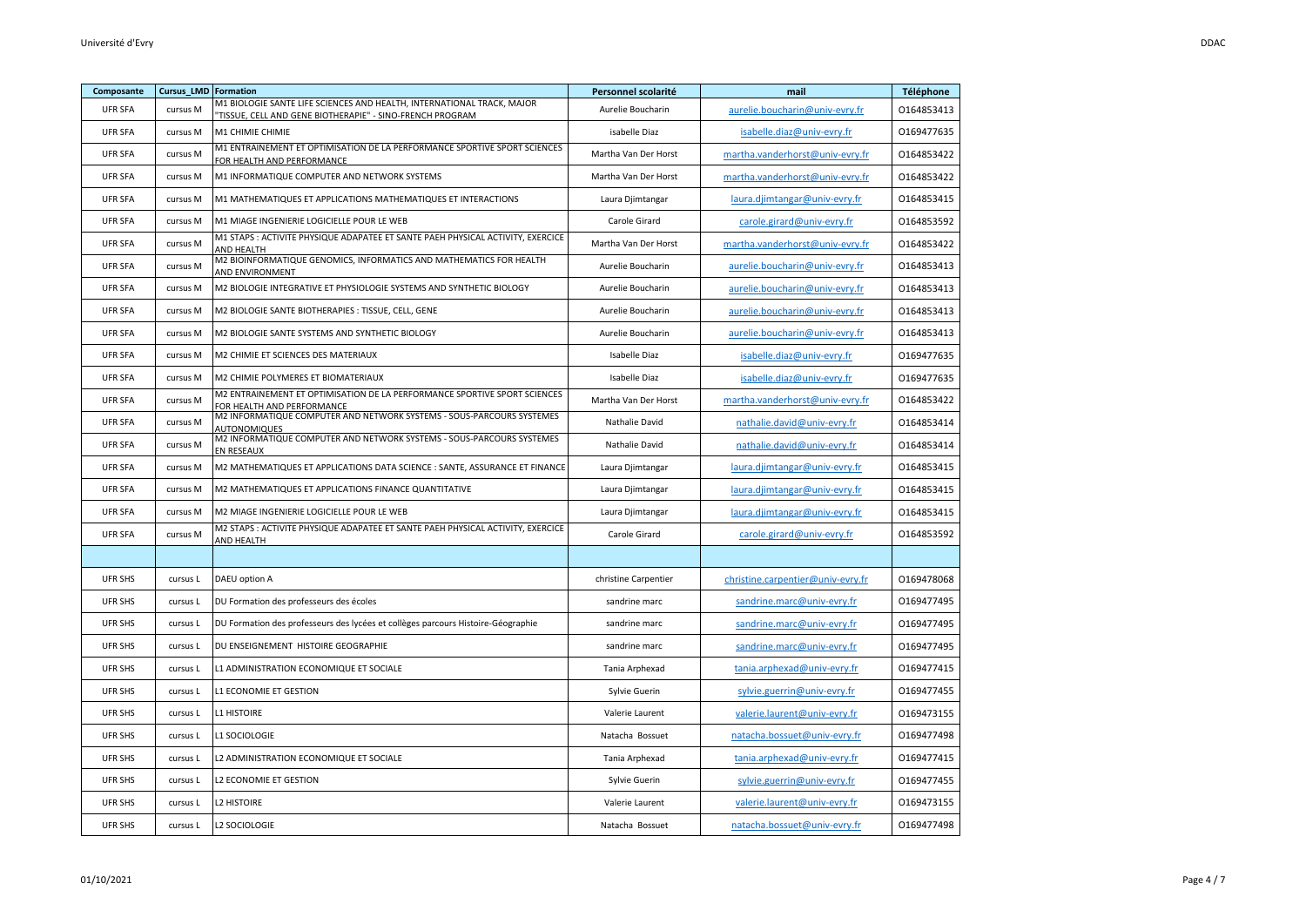| Composante     | <b>Cursus LMD Formation</b> |                                                                                                                                     | Personnel scolarité  | mail                              | Téléphone  |
|----------------|-----------------------------|-------------------------------------------------------------------------------------------------------------------------------------|----------------------|-----------------------------------|------------|
| <b>UFR SFA</b> | cursus M                    | M1 BIOLOGIE SANTE LIFE SCIENCES AND HEALTH, INTERNATIONAL TRACK, MAJOR<br>"TISSUE, CELL AND GENE BIOTHERAPIE" - SINO-FRENCH PROGRAM | Aurelie Boucharin    | aurelie.boucharin@univ-evry.fr    | 0164853413 |
| <b>UFR SFA</b> | cursus M                    | M1 CHIMIE CHIMIE                                                                                                                    | isabelle Diaz        | isabelle.diaz@univ-evry.fr        | 0169477635 |
| <b>UFR SFA</b> | cursus M                    | M1 ENTRAINEMENT ET OPTIMISATION DE LA PERFORMANCE SPORTIVE SPORT SCIENCES<br>FOR HEALTH AND PERFORMANCE                             | Martha Van Der Horst | martha.vanderhorst@univ-evry.fr   | 0164853422 |
| <b>UFR SFA</b> | cursus M                    | M1 INFORMATIQUE COMPUTER AND NETWORK SYSTEMS                                                                                        | Martha Van Der Horst | martha.vanderhorst@univ-evry.fr   | 0164853422 |
| <b>UFR SFA</b> | cursus M                    | M1 MATHEMATIQUES ET APPLICATIONS MATHEMATIQUES ET INTERACTIONS                                                                      | Laura Djimtangar     | laura.djimtangar@univ-evry.fr     | 0164853415 |
| <b>UFR SFA</b> | cursus M                    | M1 MIAGE INGENIERIE LOGICIELLE POUR LE WEB                                                                                          | Carole Girard        | carole.girard@univ-evry.fr        | 0164853592 |
| <b>UFR SFA</b> | cursus M                    | M1 STAPS : ACTIVITE PHYSIQUE ADAPATEE ET SANTE PAEH PHYSICAL ACTIVITY, EXERCICE<br>AND HEALTH                                       | Martha Van Der Horst | martha.vanderhorst@univ-evry.fr   | 0164853422 |
| <b>UFR SFA</b> | cursus M                    | M2 BIOINFORMATIQUE GENOMICS, INFORMATICS AND MATHEMATICS FOR HEALTH<br><b>AND ENVIRONMENT</b>                                       | Aurelie Boucharin    | aurelie.boucharin@univ-evry.fr    | 0164853413 |
| <b>UFR SFA</b> | cursus M                    | M2 BIOLOGIE INTEGRATIVE ET PHYSIOLOGIE SYSTEMS AND SYNTHETIC BIOLOGY                                                                | Aurelie Boucharin    | aurelie.boucharin@univ-evry.fr    | 0164853413 |
| <b>UFR SFA</b> | cursus M                    | M2 BIOLOGIE SANTE BIOTHERAPIES : TISSUE, CELL, GENE                                                                                 | Aurelie Boucharin    | aurelie.boucharin@univ-evry.fr    | 0164853413 |
| <b>UFR SFA</b> | cursus M                    | M2 BIOLOGIE SANTE SYSTEMS AND SYNTHETIC BIOLOGY                                                                                     | Aurelie Boucharin    | aurelie.boucharin@univ-evry.fr    | 0164853413 |
| <b>UFR SFA</b> | cursus M                    | M2 CHIMIE ET SCIENCES DES MATERIAUX                                                                                                 | Isabelle Diaz        | isabelle.diaz@univ-evry.fr        | 0169477635 |
| <b>UFR SFA</b> | cursus M                    | M2 CHIMIE POLYMERES ET BIOMATERIAUX                                                                                                 | Isabelle Diaz        | isabelle.diaz@univ-evry.fr        | 0169477635 |
| <b>UFR SFA</b> | cursus M                    | M2 ENTRAINEMENT ET OPTIMISATION DE LA PERFORMANCE SPORTIVE SPORT SCIENCES<br>FOR HEALTH AND PERFORMANCE                             | Martha Van Der Horst | martha.vanderhorst@univ-evry.fr   | 0164853422 |
| <b>UFR SFA</b> | cursus M                    | M2 INFORMATIQUE COMPUTER AND NETWORK SYSTEMS - SOUS-PARCOURS SYSTEMES<br>AUTONOMIQUES                                               | Nathalie David       | nathalie.david@univ-evry.fr       | 0164853414 |
| <b>UFR SFA</b> | cursus M                    | M2 INFORMATIQUE COMPUTER AND NETWORK SYSTEMS - SOUS-PARCOURS SYSTEMES<br>EN RESEAUX                                                 | Nathalie David       | nathalie.david@univ-evry.fr       | 0164853414 |
| <b>UFR SFA</b> | cursus M                    | M2 MATHEMATIQUES ET APPLICATIONS DATA SCIENCE : SANTE, ASSURANCE ET FINANCE                                                         | Laura Djimtangar     | laura.djimtangar@univ-evry.fr     | 0164853415 |
| <b>UFR SFA</b> | cursus M                    | M2 MATHEMATIQUES ET APPLICATIONS FINANCE QUANTITATIVE                                                                               | Laura Djimtangar     | laura.djimtangar@univ-evry.fr     | 0164853415 |
| <b>UFR SFA</b> | cursus M                    | M2 MIAGE INGENIERIE LOGICIELLE POUR LE WEB                                                                                          | Laura Djimtangar     | laura.djimtangar@univ-evry.fr     | 0164853415 |
| <b>UFR SFA</b> | cursus M                    | M2 STAPS : ACTIVITE PHYSIQUE ADAPATEE ET SANTE PAEH PHYSICAL ACTIVITY, EXERCICE<br>AND HEALTH                                       | Carole Girard        | carole.girard@univ-evry.fr        | 0164853592 |
|                |                             |                                                                                                                                     |                      |                                   |            |
| UFR SHS        | cursus L                    | DAEU option A                                                                                                                       | christine Carpentier | christine.carpentier@univ-evry.fr | 0169478068 |
| <b>UFR SHS</b> | cursus L                    | DU Formation des professeurs des écoles                                                                                             | sandrine marc        | sandrine.marc@univ-evry.fr        | 0169477495 |
| <b>UFR SHS</b> | cursus L                    | DU Formation des professeurs des lycées et collèges parcours Histoire-Géographie                                                    | sandrine marc        | sandrine.marc@univ-evry.fr        | 0169477495 |
| UFR SHS        | cursus L                    | DU ENSEIGNEMENT HISTOIRE GEOGRAPHIE                                                                                                 | sandrine marc        | sandrine.marc@univ-evry.fr        | 0169477495 |
| UFR SHS        | cursus L                    | L1 ADMINISTRATION ECONOMIQUE ET SOCIALE                                                                                             | Tania Arphexad       | tania.arphexad@univ-evry.fr       | 0169477415 |
| UFR SHS        | cursus L                    | L1 ECONOMIE ET GESTION                                                                                                              | Sylvie Guerin        | sylvie.guerrin@univ-evry.fr       | 0169477455 |
| UFR SHS        | cursus L                    | <b>L1 HISTOIRE</b>                                                                                                                  | Valerie Laurent      | valerie.laurent@univ-evry.fr      | 0169473155 |
| <b>UFR SHS</b> | cursus L                    | <b>L1 SOCIOLOGIE</b>                                                                                                                | Natacha Bossuet      | natacha.bossuet@univ-evry.fr      | 0169477498 |
| UFR SHS        | cursus L                    | L2 ADMINISTRATION ECONOMIQUE ET SOCIALE                                                                                             | Tania Arphexad       | tania.arphexad@univ-evry.fr       | 0169477415 |
| UFR SHS        | cursus L                    | L2 ECONOMIE ET GESTION                                                                                                              | Sylvie Guerin        | sylvie.guerrin@univ-evry.fr       | 0169477455 |
| UFR SHS        | cursus L                    | <b>L2 HISTOIRE</b>                                                                                                                  | Valerie Laurent      | valerie.laurent@univ-evry.fr      | 0169473155 |
| UFR SHS        | cursus L                    | L2 SOCIOLOGIE                                                                                                                       | Natacha Bossuet      | natacha.bossuet@univ-evry.fr      | 0169477498 |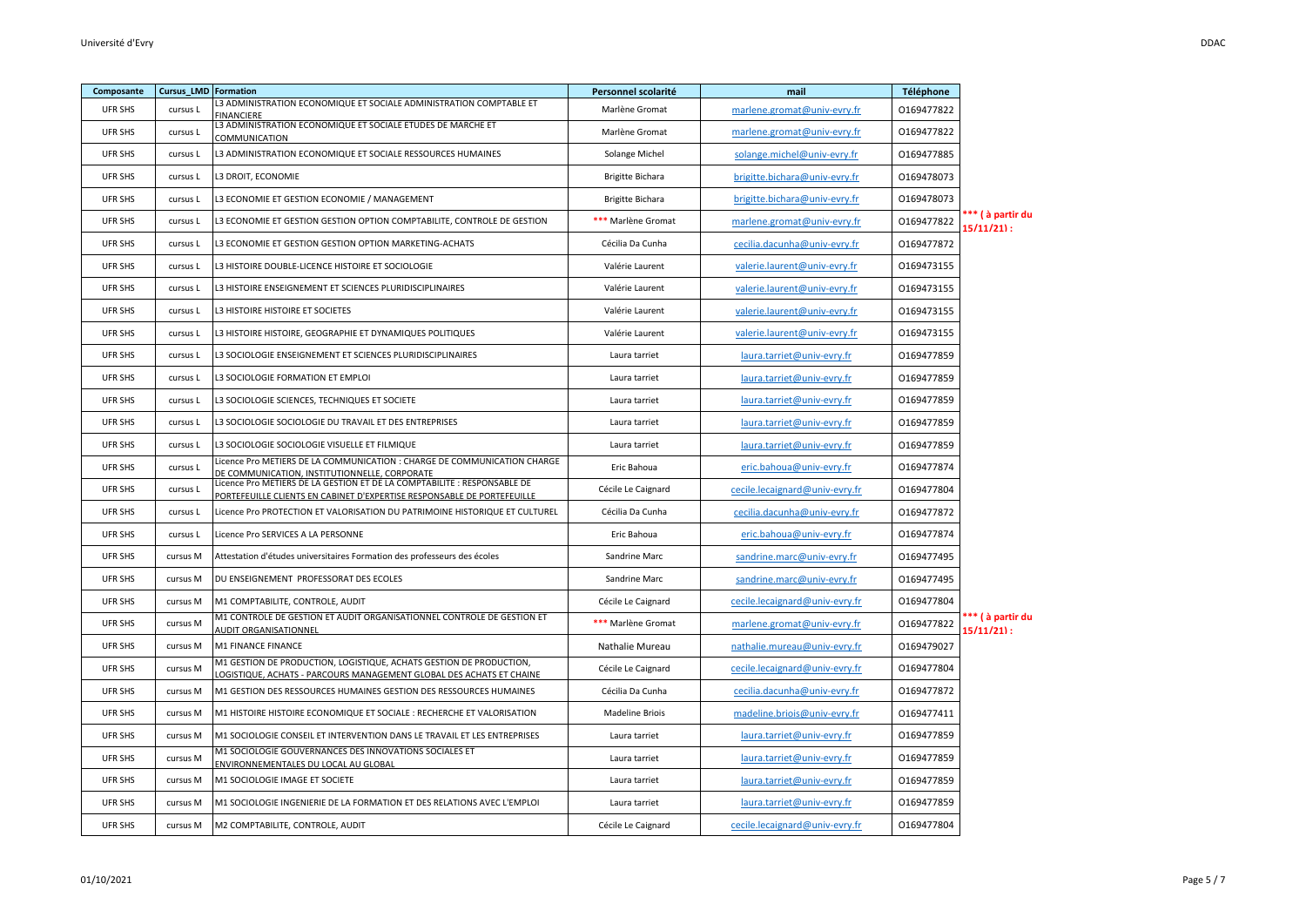| Composante     | <b>Cursus LMD Formation</b> |                                                                                                                                                     | Personnel scolarité | mail                           | Téléphone  |                                 |
|----------------|-----------------------------|-----------------------------------------------------------------------------------------------------------------------------------------------------|---------------------|--------------------------------|------------|---------------------------------|
| UFR SHS        | cursus L                    | L3 ADMINISTRATION ECONOMIQUE ET SOCIALE ADMINISTRATION COMPTABLE ET<br><b>FINANCIFRE</b>                                                            | Marlène Gromat      | marlene.gromat@univ-evry.fr    | 0169477822 |                                 |
| UFR SHS        | cursus L                    | L3 ADMINISTRATION ECONOMIQUE ET SOCIALE ETUDES DE MARCHE ET<br>COMMUNICATION                                                                        | Marlène Gromat      | marlene.gromat@univ-evry.fr    | 0169477822 |                                 |
| UFR SHS        | cursus L                    | L3 ADMINISTRATION ECONOMIQUE ET SOCIALE RESSOURCES HUMAINES                                                                                         | Solange Michel      | solange.michel@univ-evry.fr    | 0169477885 |                                 |
| <b>UFR SHS</b> | cursus L                    | L3 DROIT, ECONOMIE                                                                                                                                  | Brigitte Bichara    | brigitte.bichara@univ-evry.fr  | 0169478073 |                                 |
| <b>UFR SHS</b> | cursus L                    | L3 ECONOMIE ET GESTION ECONOMIE / MANAGEMENT                                                                                                        | Brigitte Bichara    | brigitte.bichara@univ-evry.fr  | 0169478073 |                                 |
| UFR SHS        | cursus L                    | L3 ECONOMIE ET GESTION GESTION OPTION COMPTABILITE, CONTROLE DE GESTION                                                                             | *** Marlène Gromat  | marlene.gromat@univ-evry.fr    | 0169477822 | *** ( à partir du<br>15/11/21): |
| <b>UFR SHS</b> | cursus L                    | L3 ECONOMIE ET GESTION GESTION OPTION MARKETING-ACHATS                                                                                              | Cécilia Da Cunha    | cecilia.dacunha@univ-evry.fr   | 0169477872 |                                 |
| UFR SHS        | cursus L                    | L3 HISTOIRE DOUBLE-LICENCE HISTOIRE ET SOCIOLOGIE                                                                                                   | Valérie Laurent     | valerie.laurent@univ-evry.fr   | 0169473155 |                                 |
| <b>UFR SHS</b> | cursus L                    | L3 HISTOIRE ENSEIGNEMENT ET SCIENCES PLURIDISCIPLINAIRES                                                                                            | Valérie Laurent     | valerie.laurent@univ-evry.fr   | 0169473155 |                                 |
| <b>UFR SHS</b> | cursus L                    | L3 HISTOIRE HISTOIRE ET SOCIETES                                                                                                                    | Valérie Laurent     | valerie.laurent@univ-evry.fr   | 0169473155 |                                 |
| UFR SHS        | cursus L                    | L3 HISTOIRE HISTOIRE, GEOGRAPHIE ET DYNAMIQUES POLITIQUES                                                                                           | Valérie Laurent     | valerie.laurent@univ-evry.fr   | 0169473155 |                                 |
| UFR SHS        | cursus L                    | L3 SOCIOLOGIE ENSEIGNEMENT ET SCIENCES PLURIDISCIPLINAIRES                                                                                          | Laura tarriet       | laura.tarriet@univ-evry.fr     | 0169477859 |                                 |
| UFR SHS        | cursus L                    | L3 SOCIOLOGIE FORMATION ET EMPLOI                                                                                                                   | Laura tarriet       | laura.tarriet@univ-evry.fr     | 0169477859 |                                 |
| UFR SHS        | cursus L                    | L3 SOCIOLOGIE SCIENCES, TECHNIQUES ET SOCIETE                                                                                                       | Laura tarriet       | laura.tarriet@univ-evry.fr     | 0169477859 |                                 |
| UFR SHS        | cursus L                    | L3 SOCIOLOGIE SOCIOLOGIE DU TRAVAIL ET DES ENTREPRISES                                                                                              | Laura tarriet       | laura.tarriet@univ-evry.fr     | 0169477859 |                                 |
| UFR SHS        | cursus L                    | L3 SOCIOLOGIE SOCIOLOGIE VISUELLE ET FILMIQUE                                                                                                       | Laura tarriet       | laura.tarriet@univ-evry.fr     | 0169477859 |                                 |
| UFR SHS        | cursus L                    | Licence Pro METIERS DE LA COMMUNICATION : CHARGE DE COMMUNICATION CHARGE<br>DE COMMUNICATION, INSTITUTIONNELLE, CORPORATE                           | Eric Bahoua         | eric.bahoua@univ-evry.fr       | 0169477874 |                                 |
| UFR SHS        | cursus L                    | Licence Pro METIERS DE LA GESTION ET DE LA COMPTABILITE : RESPONSABLE DE<br>PORTEFEUILLE CLIENTS EN CABINET D'EXPERTISE RESPONSABLE DE PORTEFEUILLE | Cécile Le Caignard  | cecile.lecaignard@univ-evry.fr | 0169477804 |                                 |
| <b>UFR SHS</b> | cursus L                    | Licence Pro PROTECTION ET VALORISATION DU PATRIMOINE HISTORIQUE ET CULTUREL                                                                         | Cécilia Da Cunha    | cecilia.dacunha@univ-evry.fr   | 0169477872 |                                 |
| UFR SHS        | cursus L                    | Licence Pro SERVICES A LA PERSONNE                                                                                                                  | Eric Bahoua         | eric.bahoua@univ-evry.fr       | 0169477874 |                                 |
| <b>UFR SHS</b> | cursus M                    | Attestation d'études universitaires Formation des professeurs des écoles                                                                            | Sandrine Marc       | sandrine.marc@univ-evry.fr     | 0169477495 |                                 |
| <b>UFR SHS</b> | cursus M                    | DU ENSEIGNEMENT PROFESSORAT DES ECOLES                                                                                                              | Sandrine Marc       | sandrine.marc@univ-evry.fr     | 0169477495 |                                 |
| UFR SHS        | cursus M                    | M1 COMPTABILITE, CONTROLE, AUDIT                                                                                                                    | Cécile Le Caignard  | cecile.lecaignard@univ-evry.fr | 0169477804 |                                 |
| UFR SHS        | cursus M                    | M1 CONTROLE DE GESTION ET AUDIT ORGANISATIONNEL CONTROLE DE GESTION ET<br><b>AUDIT ORGANISATIONNEL</b>                                              | *** Marlène Gromat  | marlene.gromat@univ-evry.fr    | 0169477822 | ** (à partir du<br>15/11/21) :  |
| UFR SHS        | cursus M                    | M1 FINANCE FINANCE                                                                                                                                  | Nathalie Mureau     | nathalie.mureau@univ-evry.fr   | 0169479027 |                                 |
| UFR SHS        | cursus M                    | M1 GESTION DE PRODUCTION, LOGISTIQUE, ACHATS GESTION DE PRODUCTION,<br>OGISTIQUE, ACHATS - PARCOURS MANAGEMENT GLOBAL DES ACHATS ET CHAINE          | Cécile Le Caignard  | cecile.lecaignard@univ-evry.fr | 0169477804 |                                 |
| UFR SHS        | cursus M                    | M1 GESTION DES RESSOURCES HUMAINES GESTION DES RESSOURCES HUMAINES                                                                                  | Cécilia Da Cunha    | cecilia.dacunha@univ-evry.fr   | 0169477872 |                                 |
| UFR SHS        | cursus M                    | M1 HISTOIRE HISTOIRE ECONOMIQUE ET SOCIALE : RECHERCHE ET VALORISATION                                                                              | Madeline Briois     | madeline.briois@univ-evry.fr   | 0169477411 |                                 |
| UFR SHS        | cursus M                    | M1 SOCIOLOGIE CONSEIL ET INTERVENTION DANS LE TRAVAIL ET LES ENTREPRISES                                                                            | Laura tarriet       | laura.tarriet@univ-evry.fr     | 0169477859 |                                 |
| UFR SHS        | cursus M                    | M1 SOCIOLOGIE GOUVERNANCES DES INNOVATIONS SOCIALES ET<br>ENVIRONNEMENTALES DU LOCAL AU GLOBAL                                                      | Laura tarriet       | laura.tarriet@univ-evry.fr     | 0169477859 |                                 |
| UFR SHS        | cursus M                    | M1 SOCIOLOGIE IMAGE ET SOCIETE                                                                                                                      | Laura tarriet       | laura.tarriet@univ-evry.fr     | 0169477859 |                                 |
| UFR SHS        | cursus M                    | M1 SOCIOLOGIE INGENIERIE DE LA FORMATION ET DES RELATIONS AVEC L'EMPLOI                                                                             | Laura tarriet       | laura.tarriet@univ-evry.fr     | 0169477859 |                                 |
| UFR SHS        | cursus M                    | M2 COMPTABILITE, CONTROLE, AUDIT                                                                                                                    | Cécile Le Caignard  | cecile.lecaignard@univ-evry.fr | 0169477804 |                                 |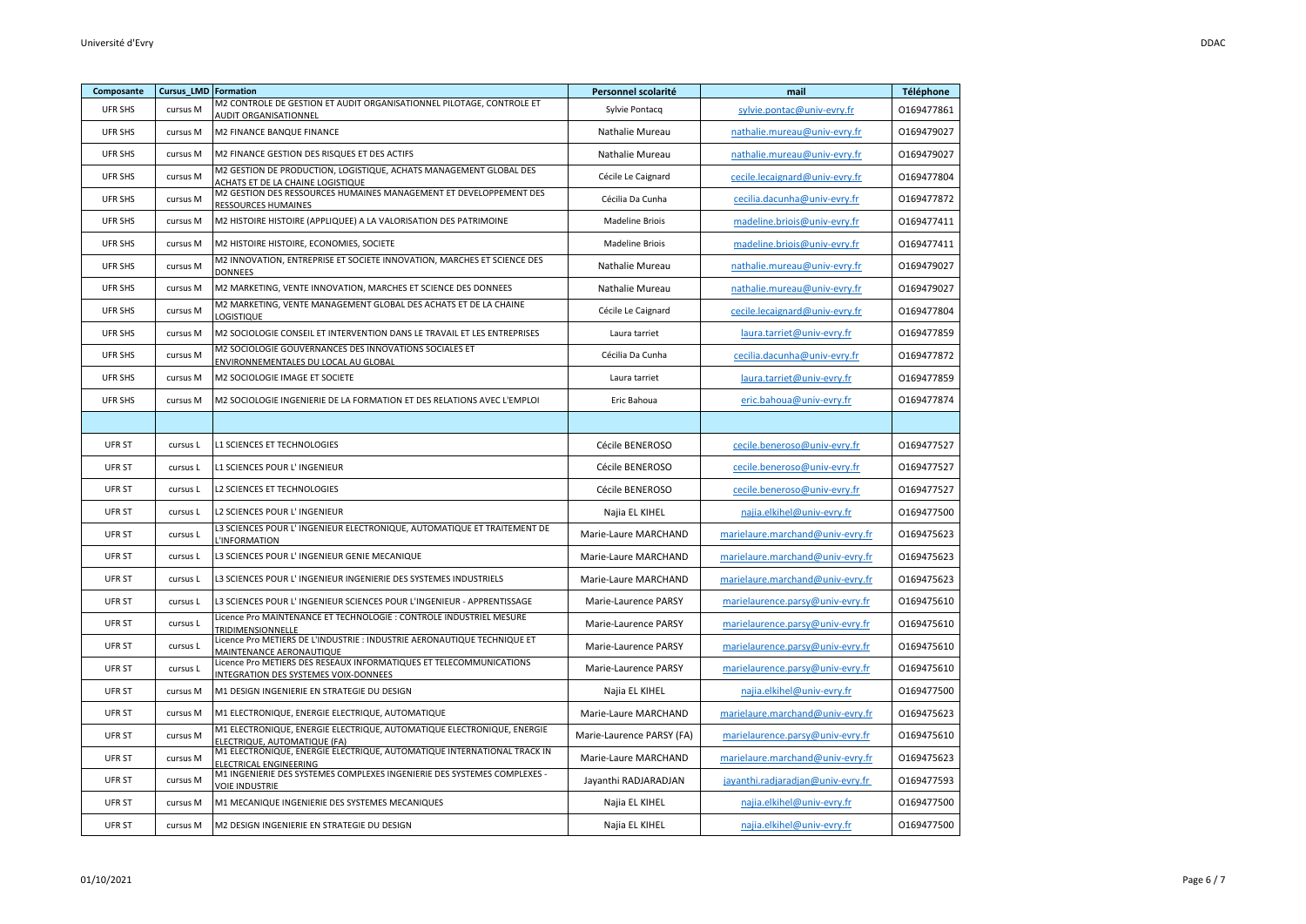| Composante    | <b>Cursus_LMD Formation</b> |                                                                                                              | Personnel scolarité       | mail                              | Téléphone  |
|---------------|-----------------------------|--------------------------------------------------------------------------------------------------------------|---------------------------|-----------------------------------|------------|
| UFR SHS       | cursus M                    | M2 CONTROLE DE GESTION ET AUDIT ORGANISATIONNEL PILOTAGE, CONTROLE ET<br><b>AUDIT ORGANISATIONNEL</b>        | Sylvie Pontacq            | sylvie.pontac@univ-evry.fr        | 0169477861 |
| UFR SHS       | cursus M                    | M2 FINANCE BANQUE FINANCE                                                                                    | Nathalie Mureau           | nathalie.mureau@univ-evry.fr      | 0169479027 |
| UFR SHS       | cursus M                    | M2 FINANCE GESTION DES RISQUES ET DES ACTIFS                                                                 | Nathalie Mureau           | nathalie.mureau@univ-evry.fr      | 0169479027 |
| UFR SHS       | cursus M                    | M2 GESTION DE PRODUCTION, LOGISTIQUE, ACHATS MANAGEMENT GLOBAL DES<br>ACHATS ET DE LA CHAINE LOGISTIQUE      | Cécile Le Caignard        | cecile.lecaignard@univ-evry.fr    | 0169477804 |
| UFR SHS       | cursus M                    | M2 GESTION DES RESSOURCES HUMAINES MANAGEMENT ET DEVELOPPEMENT DES<br>RESSOURCES HUMAINES                    | Cécilia Da Cunha          | cecilia.dacunha@univ-evry.fr      | 0169477872 |
| UFR SHS       | cursus M                    | M2 HISTOIRE HISTOIRE (APPLIQUEE) A LA VALORISATION DES PATRIMOINE                                            | <b>Madeline Briois</b>    | madeline.briois@univ-evry.fr      | 0169477411 |
| UFR SHS       | cursus M                    | M2 HISTOIRE HISTOIRE, ECONOMIES, SOCIETE                                                                     | <b>Madeline Briois</b>    | madeline.briois@univ-evry.fr      | 0169477411 |
| UFR SHS       | cursus M                    | M2 INNOVATION, ENTREPRISE ET SOCIETE INNOVATION, MARCHES ET SCIENCE DES<br><b>DONNEES</b>                    | Nathalie Mureau           | nathalie.mureau@univ-evry.fr      | 0169479027 |
| UFR SHS       | cursus M                    | M2 MARKETING, VENTE INNOVATION, MARCHES ET SCIENCE DES DONNEES                                               | Nathalie Mureau           | nathalie.mureau@univ-evry.fr      | 0169479027 |
| UFR SHS       | cursus M                    | M2 MARKETING, VENTE MANAGEMENT GLOBAL DES ACHATS ET DE LA CHAINE<br>LOGISTIQUE                               | Cécile Le Caignard        | cecile.lecaignard@univ-evry.fr    | 0169477804 |
| UFR SHS       | cursus M                    | M2 SOCIOLOGIE CONSEIL ET INTERVENTION DANS LE TRAVAIL ET LES ENTREPRISES                                     | Laura tarriet             | laura.tarriet@univ-evry.fr        | 0169477859 |
| UFR SHS       | cursus M                    | M2 SOCIOLOGIE GOUVERNANCES DES INNOVATIONS SOCIALES ET<br>ENVIRONNEMENTALES DU LOCAL AU GLOBAL               | Cécilia Da Cunha          | cecilia.dacunha@univ-evry.fr      | 0169477872 |
| UFR SHS       | cursus M                    | M2 SOCIOLOGIE IMAGE ET SOCIETE                                                                               | Laura tarriet             | laura.tarriet@univ-evry.fr        | 0169477859 |
| UFR SHS       | cursus M                    | M2 SOCIOLOGIE INGENIERIE DE LA FORMATION ET DES RELATIONS AVEC L'EMPLOI                                      | Eric Bahoua               | eric.bahoua@univ-evry.fr          | 0169477874 |
|               |                             |                                                                                                              |                           |                                   |            |
| UFR ST        | cursus L                    | <b>L1 SCIENCES ET TECHNOLOGIES</b>                                                                           | Cécile BENEROSO           | cecile.beneroso@univ-evry.fr      | 0169477527 |
| UFR ST        | cursus L                    | L1 SCIENCES POUR L' INGENIEUR                                                                                | Cécile BENEROSO           | cecile.beneroso@univ-evry.fr      | 0169477527 |
| UFR ST        | cursus L                    | L2 SCIENCES ET TECHNOLOGIES                                                                                  | Cécile BENEROSO           | cecile.beneroso@univ-evry.fr      | 0169477527 |
| UFR ST        | cursus L                    | L2 SCIENCES POUR L' INGENIEUR                                                                                | Najia EL KIHEL            | najia.elkihel@univ-evry.fr        | 0169477500 |
| UFR ST        | cursus L                    | L3 SCIENCES POUR L' INGENIEUR ELECTRONIQUE, AUTOMATIQUE ET TRAITEMENT DE<br>L'INFORMATION                    | Marie-Laure MARCHAND      | marielaure.marchand@univ-evry.fr  | 0169475623 |
| UFR ST        | cursus L                    | L3 SCIENCES POUR L'INGENIEUR GENIE MECANIQUE                                                                 | Marie-Laure MARCHAND      | marielaure.marchand@univ-evry.fr  | 0169475623 |
| UFR ST        | cursus L                    | L3 SCIENCES POUR L'INGENIEUR INGENIERIE DES SYSTEMES INDUSTRIELS                                             | Marie-Laure MARCHAND      | marielaure.marchand@univ-evry.fr  | 0169475623 |
| UFR ST        | cursus L                    | L3 SCIENCES POUR L' INGENIEUR SCIENCES POUR L'INGENIEUR - APPRENTISSAGE                                      | Marie-Laurence PARSY      | marielaurence.parsy@univ-evry.fr  | 0169475610 |
| UFR ST        | cursus L                    | Licence Pro MAINTENANCE ET TECHNOLOGIE : CONTROLE INDUSTRIEL MESURE<br>TRIDIMENSIONNELLE                     | Marie-Laurence PARSY      | marielaurence.parsy@univ-evry.fr  | 0169475610 |
| UFR ST        | cursus L                    | Licence Pro METIERS DE L'INDUSTRIE : INDUSTRIE AERONAUTIQUE TECHNIQUE ET<br>MAINTENANCE AERONAUTIQUE         | Marie-Laurence PARSY      | marielaurence.parsy@univ-evry.fr  | 0169475610 |
| UFR ST        | cursus L                    | Licence Pro METIERS DES RESEAUX INFORMATIQUES ET TELECOMMUNICATIONS<br>INTEGRATION DES SYSTEMES VOIX-DONNEES | Marie-Laurence PARSY      | marielaurence.parsy@univ-evry.fr  | 0169475610 |
| UFR ST        | cursus M                    | M1 DESIGN INGENIERIE EN STRATEGIE DU DESIGN                                                                  | Najia EL KIHEL            | najia.elkihel@univ-evry.fr        | 0169477500 |
| UFR ST        | cursus M                    | M1 ELECTRONIQUE, ENERGIE ELECTRIQUE, AUTOMATIQUE                                                             | Marie-Laure MARCHAND      | marielaure.marchand@univ-evry.fr  | 0169475623 |
| UFR ST        | cursus M                    | M1 ELECTRONIQUE, ENERGIE ELECTRIQUE, AUTOMATIQUE ELECTRONIQUE, ENERGIE<br>ELECTRIQUE, AUTOMATIQUE (FA)       | Marie-Laurence PARSY (FA) | marielaurence.parsy@univ-evry.fr  | 0169475610 |
| <b>UFR ST</b> | cursus M                    | M1 ELECTRONIQUE, ENERGIE ELECTRIQUE, AUTOMATIQUE INTERNATIONAL TRACK IN<br>ELECTRICAL ENGINEERING            | Marie-Laure MARCHAND      | marielaure.marchand@univ-evry.fr  | 0169475623 |
| UFR ST        | cursus M                    | M1 INGENIERIE DES SYSTEMES COMPLEXES INGENIERIE DES SYSTEMES COMPLEXES -<br>VOIE INDUSTRIE                   | Jayanthi RADJARADJAN      | jayanthi.radjaradjan@univ-evry.fr | 0169477593 |
| UFR ST        | cursus M                    | M1 MECANIQUE INGENIERIE DES SYSTEMES MECANIQUES                                                              | Najia EL KIHEL            | najia.elkihel@univ-evry.fr        | 0169477500 |
| UFR ST        | cursus M                    | M2 DESIGN INGENIERIE EN STRATEGIE DU DESIGN                                                                  | Najia EL KIHEL            | najia.elkihel@univ-evry.fr        | 0169477500 |